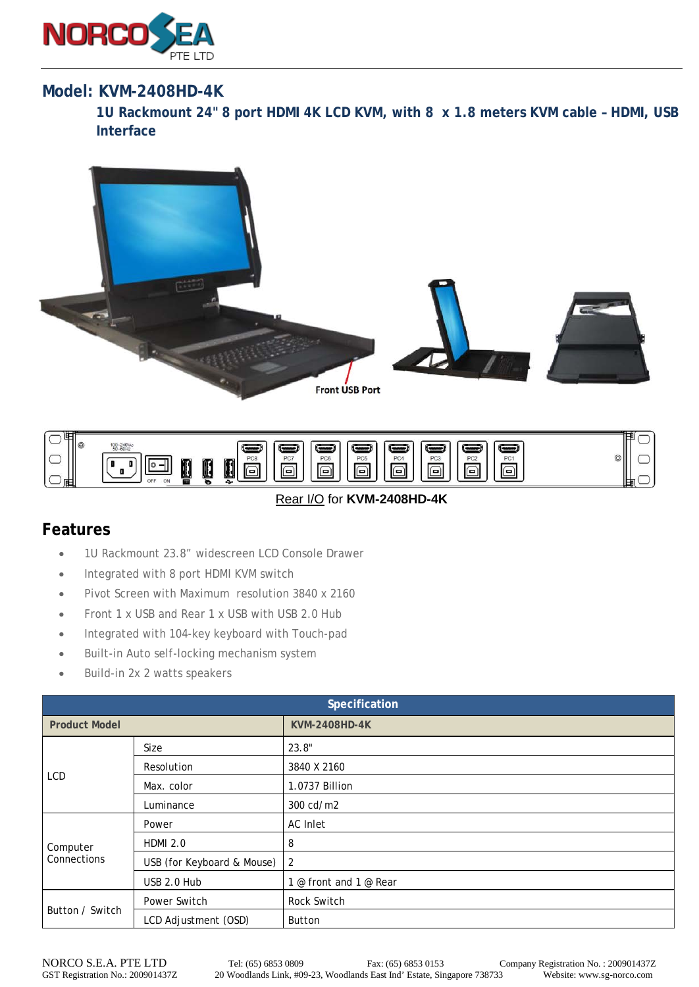

## **Model: KVM-2408HD-4K**

**1U Rackmount 24" 8 port HDMI 4K LCD KVM, with 8 x 1.8 meters KVM cable – HDMI, USB Interface** 





## Rear I/O for **KVM-2408HD-4K**

## **Features**

- 1U Rackmount 23.8" widescreen LCD Console Drawer
- Integrated with 8 port HDMI KVM switch
- Pivot Screen with Maximum resolution 3840 x 2160
- Front 1 x USB and Rear 1 x USB with USB 2.0 Hub
- Integrated with 104-key keyboard with Touch-pad
- Built-in Auto self-locking mechanism system
- Build-in 2x 2 watts speakers

| Specification           |                            |                        |  |
|-------------------------|----------------------------|------------------------|--|
| <b>Product Model</b>    |                            | <b>KVM-2408HD-4K</b>   |  |
| LCD                     | Size                       | 23.8"                  |  |
|                         | Resolution                 | 3840 X 2160            |  |
|                         | Max. color                 | 1.0737 Billion         |  |
|                         | Luminance                  | 300 cd/m2              |  |
| Computer<br>Connections | Power                      | AC Inlet               |  |
|                         | <b>HDMI 2.0</b>            | 8                      |  |
|                         | USB (for Keyboard & Mouse) | 2                      |  |
|                         | USB 2.0 Hub                | 1 @ front and 1 @ Rear |  |
| Button / Switch         | Power Switch               | Rock Switch            |  |
|                         | LCD Adjustment (OSD)       | <b>Button</b>          |  |